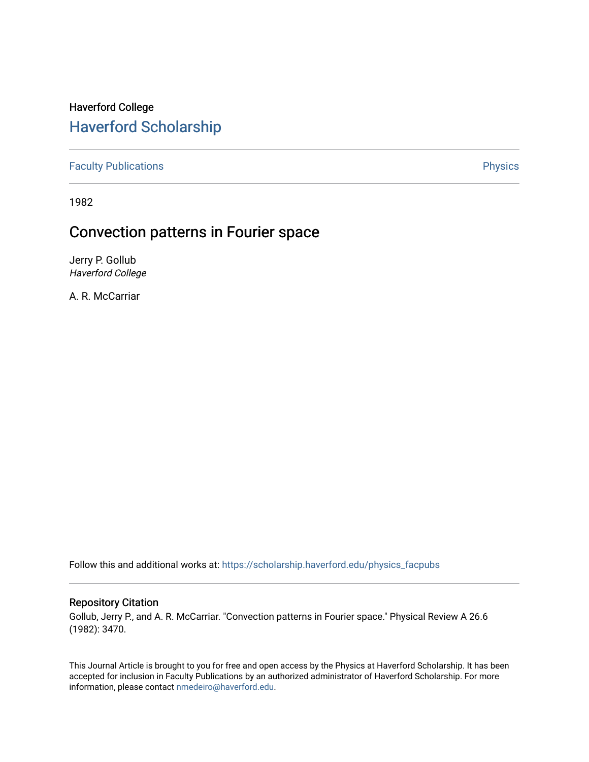# Haverford College [Haverford Scholarship](https://scholarship.haverford.edu/)

[Faculty Publications](https://scholarship.haverford.edu/physics_facpubs) **Physics** 

1982

## Convection patterns in Fourier space

Jerry P. Gollub Haverford College

A. R. McCarriar

Follow this and additional works at: [https://scholarship.haverford.edu/physics\\_facpubs](https://scholarship.haverford.edu/physics_facpubs?utm_source=scholarship.haverford.edu%2Fphysics_facpubs%2F256&utm_medium=PDF&utm_campaign=PDFCoverPages) 

## Repository Citation

Gollub, Jerry P., and A. R. McCarriar. "Convection patterns in Fourier space." Physical Review A 26.6 (1982): 3470.

This Journal Article is brought to you for free and open access by the Physics at Haverford Scholarship. It has been accepted for inclusion in Faculty Publications by an authorized administrator of Haverford Scholarship. For more information, please contact [nmedeiro@haverford.edu.](mailto:nmedeiro@haverford.edu)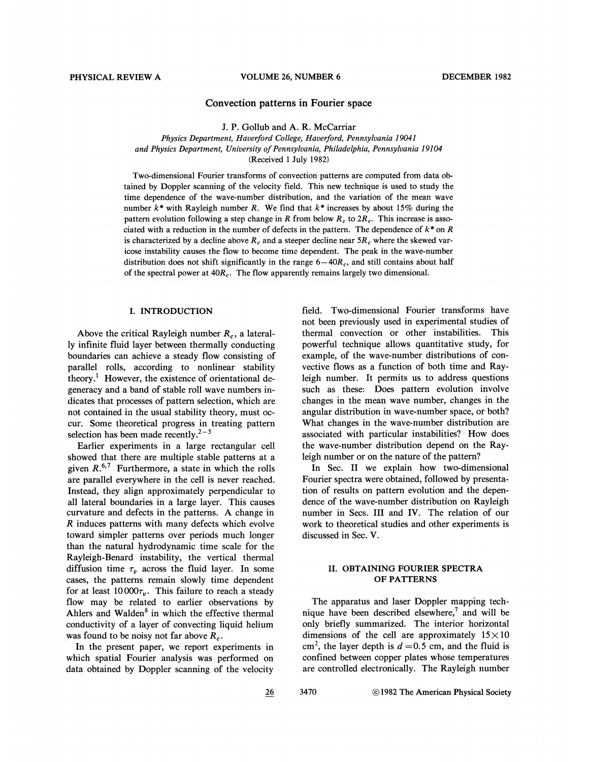### Convection patterns in Fourier space

J. P. Gollub and A. R. McCarriar Physics Department, Haverford College, Haverford, Pennsylvania 19041 and Physics Department, University of Pennsylvania, Philadelphia, Pennsylvania 19104 (Received 1 July 1982)

Two-dimensional Fourier transforms of convection patterns are computed from data obtained by Doppler scanning of the velocity field. This new technique is used to study the time dependence of the wave-number distribution, and the variation of the mean wave number  $k^*$  with Rayleigh number R. We find that  $k^*$  increases by about 15% during the pattern evolution following a step change in R from below  $R_c$  to  $2R_c$ . This increase is associated with a reduction in the number of defects in the pattern. The dependence of  $k^*$  on R is characterized by a decline above  $R_c$  and a steeper decline near  $5R_c$  where the skewed varicose instability causes the flow to become time dependent. The peak in the wave-number distribution does not shift significantly in the range  $6-40R_c$ , and still contains about half of the spectral power at  $40R_c$ . The flow apparently remains largely two dimensional.

#### I. INTRODUCTION

Above the critical Rayleigh number  $R_c$ , a laterally infinite fluid layer between thermally conducting boundaries can achieve a steady flow consisting of parallel rolls, according to nonlinear stability theory. ' However, the existence of orientational degeneracy and a band of stable roll wave numbers indicates that processes of pattern selection, which are not contained in the usual stability theory, must occur. Some theoretical progress in treating pattern selection has been made recently. $2-5$ 

Earlier experiments in a large rectangular cell showed that there are multiple stable patterns at a given  $R^{6,7}$  Furthermore, a state in which the rolls are parallel everywhere in the cell is never reached. Instead, they align approximately perpendicular to all lateral boundaries in a large layer. This causes curvature and defects in the patterns. A change in  $R$  induces patterns with many defects which evolve toward simpler patterns over periods much longer than the natural hydrodynamic time scaie for the Rayleigh-Benard instability, the vertical thermal diffusion time  $\tau_n$  across the fluid layer. In some cases, the patterns remain slowly time dependent for at least  $10000\tau_v$ . This failure to reach a steady fiow may be related to earlier observations by Ahlers and Walden $<sup>8</sup>$  in which the effective thermal</sup> conductivity of a layer of convecting liquid helium was found to be noisy not far above  $R_c$ .

In the present paper, we report experiments in which spatial Fourier analysis was performed on data obtained by Doppler scanning of the velocity

field. Two-dimensional Fourier transforms have not been previously used in experimental studies of thermal convection or other instabilities. This powerful technique allows quantitative study, for example, of the wave-number distributions of convective flows as a function of both time and Rayleigh number. It permits us to address questions such as these: Does pattern evolution involve changes in the mean wave number, changes in the angular distribution in wave-number space, or both? What changes in the wave-number distribution are associated with particular instabilities? How does the wave-number distribution depend on the Rayleigh number or on the nature of the pattern?

In Sec. II we explain how two-dimensional Fourier spectra were obtained, followed by presentation of results on pattern evolution and the dependence of the wave-number distribution on Rayleigh number in Secs. III and IV. The relation of our work to theoretical studies and other experiments is discussed in Sec. V.

## II. OBTAINING FOURIER SPECTRA OF PATTERNS

The apparatus and laser Doppler mapping technique have been described elsewhere, $\lambda$  and will be only briefly summarized. The interior horizontal dimensions of the cell are approximately  $15 \times 10$ cm<sup>2</sup>, the layer depth is  $d = 0.5$  cm, and the fluid is confined between copper plates whose temperatures are controlled dectronically. The Rayleigh number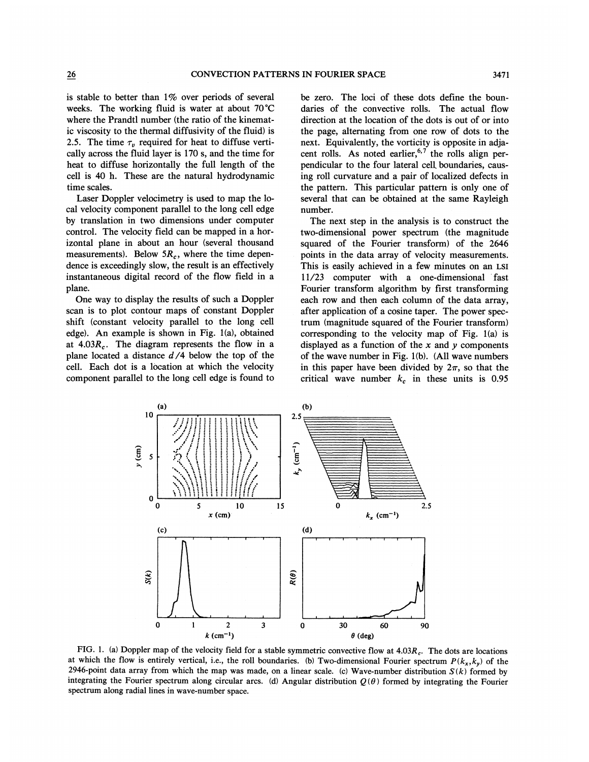is stable to better than 1% over periods of several weeks. The working fluid is water at about 70'C where the Prandtl number (the ratio of the kinematic viscosity to the thermal diffusivity of the fluid) is 2.5. The time  $\tau_n$  required for heat to diffuse vertically across the fluid layer is 170 s, and the time for heat to diffuse horizontally the full length of the cell is 40 h. These are the natural hydrodynamic time scales.

Laser Doppler velocimetry is used to map the local velocity component parallel to the long cell edge by translation in two dimensions under computer control. The velocity field can be mapped in a horizontal plane in about an hour (several thousand measurements). Below  $5R_c$ , where the time dependence is exceedingly slow, the result is an effectively instantaneous digital record of the flow field in a plane.

One way to display the results of such a Doppler scan is to plot contour maps of constant Doppler shift (constant velocity parallel to the long cell edge}. An example is shown in Fig. 1(a), obtained at  $4.03R_c$ . The diagram represents the flow in a plane located a distance  $d/4$  below the top of the cell. Each dot is a location at which the velocity component parallel to the long cell edge is found to be zero. The loci of these dots define the boundaries of the convective rolls. The actual flow direction at the location of the dots is out of or into the page, alternating from one row of dots to the next. Equivalently, the vorticity is opposite in adjacent rolls. As noted earlier,  $6,7$  the rolls align perpendicular to the four lateral cell. boundaries, causing roll curvature and a pair of localized defects in the pattern. This particular pattern is only one of several that can be obtained at the same Rayleigh number.

The next step in the analysis is to construct the two-dimensional power spectrum (the magnitude squared of the Fourier transform) of the 2646 points in the data array of velocity measurements. This is easily achieved in a few minutes on an Lsi <sup>1</sup> <sup>1</sup>l23 computer with a one-dimensional fast Fourier transform algorithm by first transforming each row and then each column of the data array, after application of a cosine taper. The power spectrum (magnitude squared of the Fourier transform) corresponding to the velocity map of Fig. 1(a) is displayed as a function of the  $x$  and  $y$  components of the wave number in Fig. 1(b). (All wave numbers in this paper have been divided by  $2\pi$ , so that the critical wave number  $k_c$  in these units is 0.95



FIG. 1. (a) Doppler map of the velocity field for a stable symmetric convective flow at  $4.03R_c$ . The dots are locations at which the flow is entirely vertical, i.e., the roll boundaries. (b) Two-dimensional Fourier spectrum  $P(k_x, k_y)$  of the 2946-point data array from which the map was made, on a linear scale. (c) Wave-number distribution  $S(k)$  formed by integrating the Fourier spectrum along circular arcs. (d) Angular distribution  $Q(\theta)$  formed by integrating the Fourier spectrum along radial lines in wave-number space.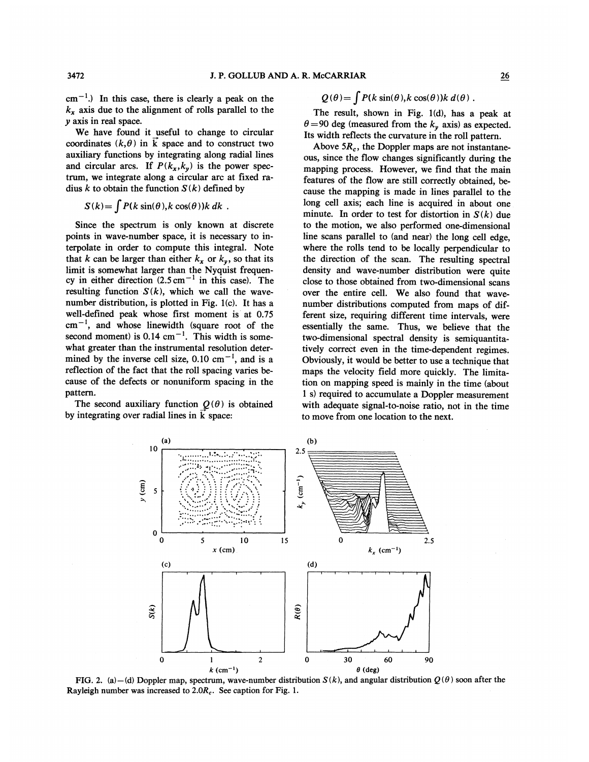$cm^{-1}$ .) In this case, there is clearly a peak on the  $k_x$  axis due to the alignment of rolls parallel to the y axis in real space.

We have found it useful to change to circular coordinates  $(k, \theta)$  in  $\vec{k}$  space and to construct two auxiliary functions by integrating along radial lines and circular arcs. If  $P(k_x, k_y)$  is the power spectrum, we integrate along a circular arc at fixed radius k to obtain the function  $S(k)$  defined by

$$
S(k) = \int P(k \sin(\theta), k \cos(\theta)) k dk.
$$

Since the spectrum is only known at discrete points in wave-number space, it is necessary to interpolate in order to compute this integral. Note that k can be larger than either  $k_x$  or  $k_y$ , so that its limit is somewhat larger than the Nyquist frequency in either direction  $(2.5 \text{ cm}^{-1})$  in this case). The resulting function  $S(k)$ , which we call the wavenumber distribution, is plotted in Fig.  $1(c)$ . It has a well-defined peak whose first moment is at 0.7S  $cm^{-1}$ , and whose linewidth (square root of the second moment) is  $0.14 \text{ cm}^{-1}$ . This width is somewhat greater than the instrumental resolution determined by the inverse cell size, 0.10 cm<sup> $-1$ </sup>, and is a reflection of the fact that the roll spacing varies because of the defects or nonuniform spacing in the pattern.

The second auxiliary function  $Q(\theta)$  is obtained by integrating over radial lines in  $\vec{k}$  space:

$$
Q(\theta) = \int P(k \sin(\theta), k \cos(\theta)) k d(\theta).
$$

The result, shown in Fig. 1(d), has a peak at  $\theta = 90$  deg (measured from the  $k_{y}$  axis) as expected. Its width reflects the curvature in the roll pattern.

Above  $5R_c$ , the Doppler maps are not instantaneous, since the flow changes significantly during the mapping process. However, we find that the main features of the flow are still correctly obtained, because the mapping is made in lines parallel to the long cell axis; each line is acquired in about one minute. In order to test for distortion in  $S(k)$  due to the motion, we also performed one-dimensional line scans parallel to (and near) the long cell edge, where the rolls tend to be locally perpendicular to the direction of the scan. The resulting spectral density and wave-number distribution were quite close to those obtained from two-dimensional scans over the entire cell. We also found that wavenumber distributions computed from maps of different size, requiring different time intervals, were essentially the same. Thus, we believe that the two-dimensional spectral density is semiquantitatively correct even in the time-dependent regimes. Obviously, it would be better to use a technique that maps the velocity field more quickly. The limitation on mapping speed is mainly in the time (about <sup>1</sup> s) required to accumulate a Doppler measurement with adequate signal-to-noise ratio, not in the time to move from one location to the next.



FIG. 2. (a) —(d) Doppler map, spectrum, wave-number distribution  $S(k)$ , and angular distribution  $Q(\theta)$  soon after the Rayleigh number was increased to  $2.0R_c$ . See caption for Fig. 1.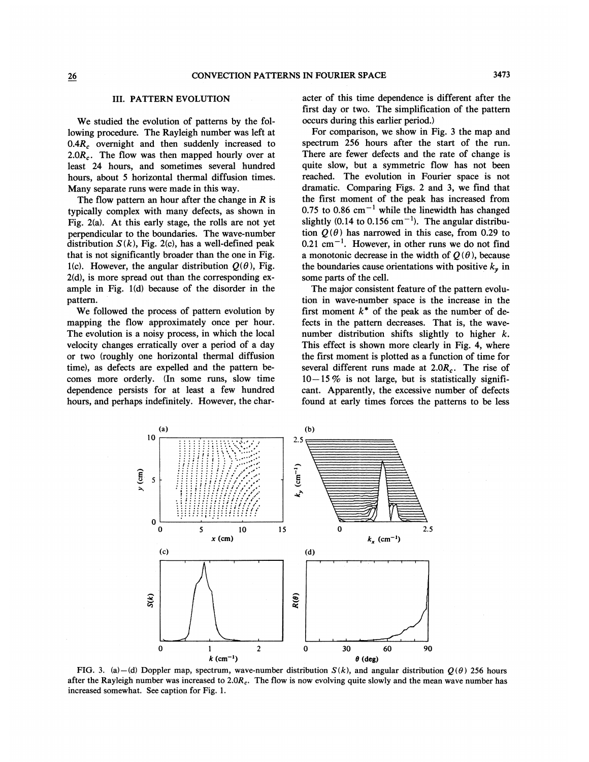#### III. PATTERN EVOLUTION

We studied the evolution of patterns by the following procedure. The Rayleigh number was left at 0.4R, overnight and then suddenly increased to 2.0 $R_c$ . The flow was then mapped hourly over at least 24 hours, and sometimes several hundred hours, about 5 horizontal thermal diffusion times. Many separate runs were made in this way.

The flow pattern an hour after the change in  *is* typically complex with many defects, as shown in Fig. 2(a). At this early stage, the rolls are not yet perpendicular to the boundaries. The wave-number distribution  $S(k)$ , Fig. 2(c), has a well-defined peak that is not significantly broader than the one in Fig. 1(c). However, the angular distribution  $Q(\theta)$ , Fig. 2(d), is more spread out than the corresponding example in Fig.  $1(d)$  because of the disorder in the pattern.

We followed the process of pattern evolution by mapping the flow approximately once per hour. The evolution is a noisy process, in which the local velocity changes erratically over a period of a day or two (roughly one horizontal thermal diffusion time}, as defects are expelled and the pattern becomes more orderly. (In some runs, slow time dependence persists for at least a few hundred hours, and perhaps indefinitely. However, the character of this time dependence is different after the first day or two. The simplification of the pattern occurs during this earlier period. }

For comparison, we show in Fig. 3 the map and spectrum 256 hours after the start of the run. There are fewer defects and the rate of change is quite slow, but a symmetric flow has not been reached. The evolution in Fourier space is not dramatic. Comparing Figs. 2 and 3, we find that the first moment of the peak has increased from 0.75 to 0.86  $cm^{-1}$  while the linewidth has changed slightly (0.14 to 0.156 cm<sup> $-1$ </sup>). The angular distribution  $Q(\theta)$  has narrowed in this case, from 0.29 to  $0.21$  cm<sup>-1</sup>. However, in other runs we do not find a monotonic decrease in the width of  $Q(\theta)$ , because the boundaries cause orientations with positive  $k_{\nu}$  in some parts of the cell.

The major consistent feature of the pattern evolution in wave-number space is the increase in the first moment  $k^*$  of the peak as the number of defects in the pattern decreases. That is, the wavenumber distribution shifts slightly to higher k. This effect is shown more clearly in Fig. 4, where the first moment is plotted as a function of time for several different runs made at 2.0R,. The rise of  $10-15\%$  is not large, but is statistically significant. Apparently, the excessive number of defects found at early times forces the patterns to be less



FIG. 3. (a)—(d) Doppler map, spectrum, wave-number distribution  $S(k)$ , and angular distribution  $O(\theta)$  256 hours after the Rayleigh number was increased to  $2.0R_c$ . The flow is now evolving quite slowly and the mean wave number has increased somewhat. See caption for Fig. 1.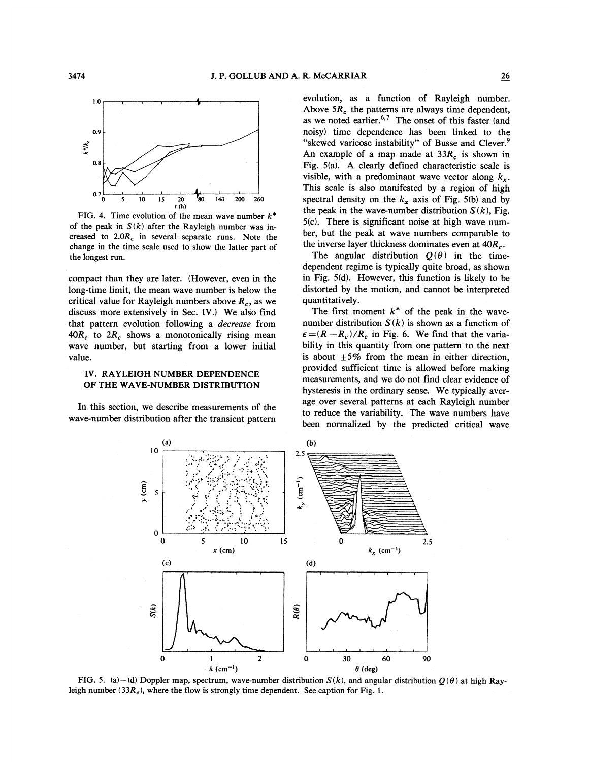

FIG. 4. Time evolution of the mean wave number  $k^*$ of the peak in  $S(k)$  after the Rayleigh number was increased to 2.0R, in several separate runs. Note the change in the time scale used to show the latter part of the longest run.

compact than they are later. (However, even in the long-time limit, the mean wave number is below the critical value for Rayleigh numbers above  $R_c$ , as we discuss more extensively in Sec. IV.) We also find that pattern evolution following a decrease from  $40R_c$  to  $2R_c$  shows a monotonically rising mean wave number, but starting from a lower initial value.

### IV. RAYLEIGH NUMBER DEPENDENCE OF THE WAVE-NUMBER DISTRIBUTION

In this section, we describe measurements of the wave-number distribution after the transient pattern

evolution, as a function of Rayleigh number. Above  $5R_c$  the patterns are always time dependent, as we noted earlier.<sup>6,7</sup> The onset of this faster (and noisy) time dependence has been linked to the "skewed varicose instability" of Busse and Clever.<sup>9</sup> An example of a map made at  $33R_c$  is shown in Fig.  $5(a)$ . A clearly defined characteristic scale is visible, with a predominant wave vector along  $k_r$ . This scale is also manifested by a region of high spectral density on the  $k_x$  axis of Fig. 5(b) and by the peak in the wave-number distribution  $S(k)$ , Fig. 5(c). There is significant noise at high wave number, but the peak at wave numbers comparable to the inverse layer thickness dominates even at  $40R<sub>c</sub>$ .

The angular distribution  $Q(\theta)$  in the timedependent regime is typically quite broad, as shown in Fig. 5(d). However, this function is likely to be distorted by the motion, and cannot be interpreted quantitatively.

The first moment  $k^*$  of the peak in the wavenumber distribution  $S(k)$  is shown as a function of  $\epsilon = (R - R_c)/R_c$  in Fig. 6. We find that the variability in this quantity from one pattern to the next is about  $+5\%$  from the mean in either direction, provided sufficient time is allowed before making measurements, and we do not find clear evidence of hysteresis in the ordinary sense. We typically average over several patterns at each Rayleigh number to reduce the variability. The wave numbers have been normalized by the predicted critical wave



leigh number (33 $R_c$ ), where the flow is strongly time dependent. See caption for Fig. 1.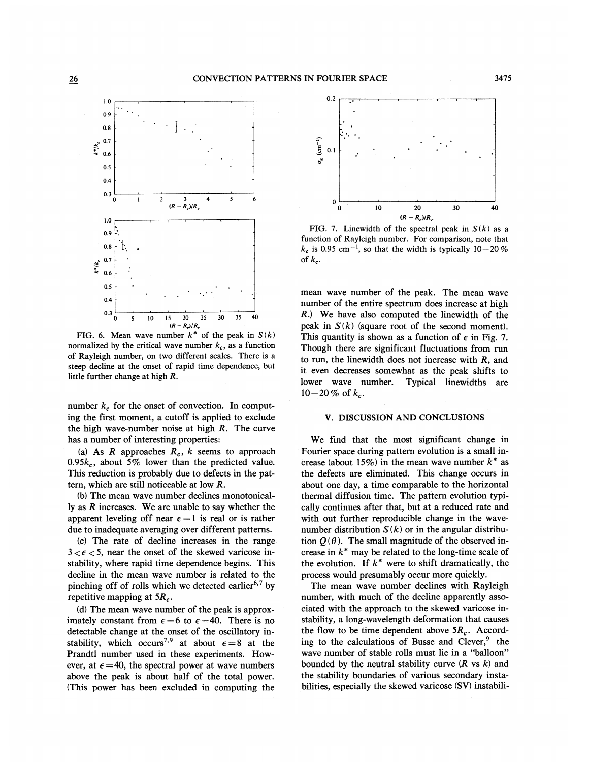

FIG. 6. Mean wave number  $k^*$  of the peak in  $S(k)$ normalized by the critical wave number  $k_c$ , as a function of Rayleigh number, on two different scales. There is a steep decline at the onset of rapid time dependence, but little further change at high R.

number  $k_c$  for the onset of convection. In computing the first moment, a cutoff is applied to exclude the high wave-number noise at high R. The curve has a number of interesting properties:

(a) As  $R$  approaches  $R_c$ ,  $k$  seems to approach 0.95 $k_c$ , about 5% lower than the predicted value. This reduction is probably due to defects in the pattern, which are still noticeable at low R.

(b) The mean wave number declines monotonically as  $R$  increases. We are unable to say whether the apparent leveling off near  $\epsilon = 1$  is real or is rather due to inadequate averaging over different patterns.

(c) The rate of decline increases in the range  $3 < \epsilon < 5$ , near the onset of the skewed varicose instability, where rapid time dependence begins. This decline in the mean wave number is related to the pinching off of rolls which we detected earlier<sup>6,7</sup> by repetitive mapping at  $5R_c$ .

(d) The mean wave number of the peak is approximately constant from  $\epsilon = 6$  to  $\epsilon = 40$ . There is no detectable change at the onset of the oscillatory instability, which occurs<sup>7,9</sup> at about  $\epsilon = 8$  at the Prandtl number used in these experiments. However, at  $\epsilon = 40$ , the spectral power at wave numbers above the peak is about half of the total power. (This power has been excluded in computing the



FIG. 7. Linewidth of the spectral peak in  $S(k)$  as a function of Rayleigh number. For comparison, note that  $k_c$  is 0.95 cm<sup>-1</sup>, so that the width is typically 10-20% of  $k_c$ .

mean wave number of the peak. The mean wave number of the entire spectrum does increase at high R.) We have also computed the linewidth of the peak in  $S(k)$  (square root of the second moment). This quantity is shown as a function of  $\epsilon$  in Fig. 7. Though there are significant fluctuations from run to run, the linewidth does not increase with  $R$ , and it even decreases somewhat as the peak shifts to lower wave number. Typical linewidths are  $10-20\%$  of  $k_c$ .

#### V. DISCUSSION AND CONCLUSIONS

We find that the most significant change in Fourier space during pattern evolution is a small increase (about 15%) in the mean wave number  $k^*$  as the defects are eliminated. This change occurs in about one day, a time comparable to the horizontal thermal diffusion time. The pattern evolution typically continues after that, but at a reduced rate and with out further reproducible change in the wavenumber distribution  $S(k)$  or in the angular distribution  $Q(\theta)$ . The small magnitude of the observed increase in  $k^*$  may be related to the long-time scale of the evolution. If  $k^*$  were to shift dramatically, the process would presumably occur more quickly.

The mean wave number declines with Rayleigh number, with much of the decline apparently associated with the approach to the skewed varicose instability, a long-wavelength deformation that causes the flow to be time dependent above  $5R_c$ . According to the calculations of Busse and Clever, $9$  the wave number of stable rolls must lie in a "balloon" bounded by the neutral stability curve  $(R \text{ vs } k)$  and the stability boundaries of various secondary instabilities, especially the skewed varicose (SV) instabili-